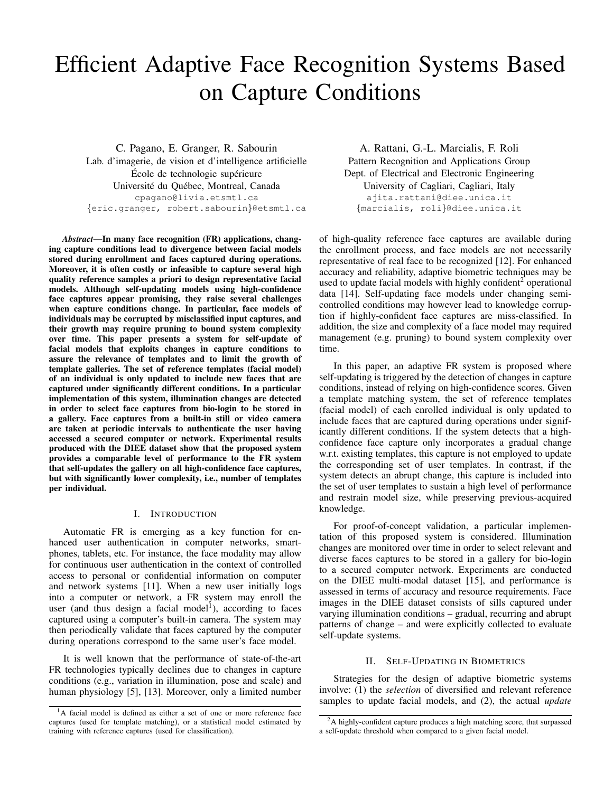# Efficient Adaptive Face Recognition Systems Based on Capture Conditions

C. Pagano, E. Granger, R. Sabourin Lab. d'imagerie, de vision et d'intelligence artificielle École de technologie supérieure Université du Québec, Montreal, Canada cpagano@livia.etsmtl.ca {eric.granger, robert.sabourin}@etsmtl.ca

*Abstract*—In many face recognition (FR) applications, changing capture conditions lead to divergence between facial models stored during enrollment and faces captured during operations. Moreover, it is often costly or infeasible to capture several high quality reference samples a priori to design representative facial models. Although self-updating models using high-confidence face captures appear promising, they raise several challenges when capture conditions change. In particular, face models of individuals may be corrupted by misclassified input captures, and their growth may require pruning to bound system complexity over time. This paper presents a system for self-update of facial models that exploits changes in capture conditions to assure the relevance of templates and to limit the growth of template galleries. The set of reference templates (facial model) of an individual is only updated to include new faces that are captured under significantly different conditions. In a particular implementation of this system, illumination changes are detected in order to select face captures from bio-login to be stored in a gallery. Face captures from a built-in still or video camera are taken at periodic intervals to authenticate the user having accessed a secured computer or network. Experimental results produced with the DIEE dataset show that the proposed system provides a comparable level of performance to the FR system that self-updates the gallery on all high-confidence face captures, but with significantly lower complexity, i.e., number of templates per individual.

### I. INTRODUCTION

Automatic FR is emerging as a key function for enhanced user authentication in computer networks, smartphones, tablets, etc. For instance, the face modality may allow for continuous user authentication in the context of controlled access to personal or confidential information on computer and network systems [11]. When a new user initially logs into a computer or network, a FR system may enroll the user (and thus design a facial model<sup>1</sup>), according to faces captured using a computer's built-in camera. The system may then periodically validate that faces captured by the computer during operations correspond to the same user's face model.

It is well known that the performance of state-of-the-art FR technologies typically declines due to changes in capture conditions (e.g., variation in illumination, pose and scale) and human physiology [5], [13]. Moreover, only a limited number

A. Rattani, G.-L. Marcialis, F. Roli Pattern Recognition and Applications Group Dept. of Electrical and Electronic Engineering University of Cagliari, Cagliari, Italy ajita.rattani@diee.unica.it {marcialis, roli}@diee.unica.it

of high-quality reference face captures are available during the enrollment process, and face models are not necessarily representative of real face to be recognized [12]. For enhanced accuracy and reliability, adaptive biometric techniques may be used to update facial models with highly confident<sup>2</sup> operational data [14]. Self-updating face models under changing semicontrolled conditions may however lead to knowledge corruption if highly-confident face captures are miss-classified. In addition, the size and complexity of a face model may required management (e.g. pruning) to bound system complexity over time.

In this paper, an adaptive FR system is proposed where self-updating is triggered by the detection of changes in capture conditions, instead of relying on high-confidence scores. Given a template matching system, the set of reference templates (facial model) of each enrolled individual is only updated to include faces that are captured during operations under significantly different conditions. If the system detects that a highconfidence face capture only incorporates a gradual change w.r.t. existing templates, this capture is not employed to update the corresponding set of user templates. In contrast, if the system detects an abrupt change, this capture is included into the set of user templates to sustain a high level of performance and restrain model size, while preserving previous-acquired knowledge.

For proof-of-concept validation, a particular implementation of this proposed system is considered. Illumination changes are monitored over time in order to select relevant and diverse faces captures to be stored in a gallery for bio-login to a secured computer network. Experiments are conducted on the DIEE multi-modal dataset [15], and performance is assessed in terms of accuracy and resource requirements. Face images in the DIEE dataset consists of sills captured under varying illumination conditions – gradual, recurring and abrupt patterns of change – and were explicitly collected to evaluate self-update systems.

# II. SELF-UPDATING IN BIOMETRICS

Strategies for the design of adaptive biometric systems involve: (1) the *selection* of diversified and relevant reference samples to update facial models, and (2), the actual *update*

<sup>&</sup>lt;sup>1</sup>A facial model is defined as either a set of one or more reference face captures (used for template matching), or a statistical model estimated by training with reference captures (used for classification).

<sup>&</sup>lt;sup>2</sup>A highly-confident capture produces a high matching score, that surpassed a self-update threshold when compared to a given facial model.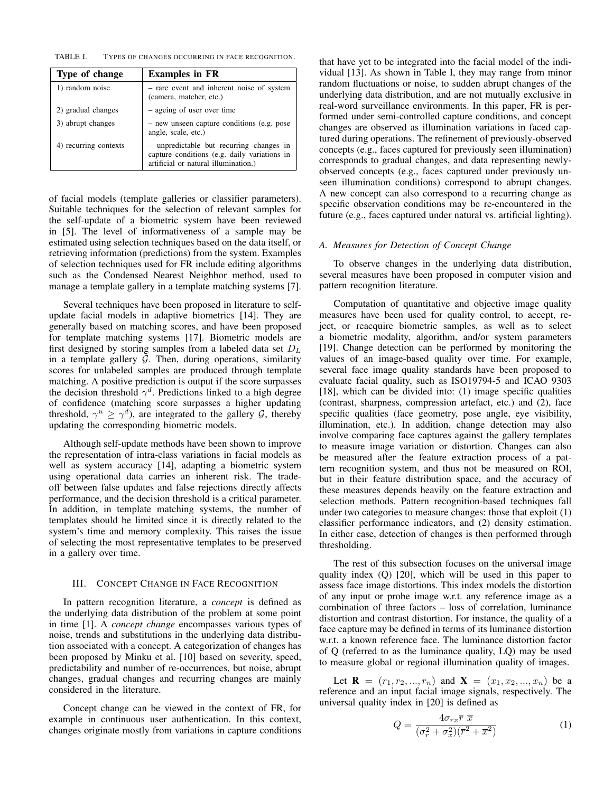TABLE I. TYPES OF CHANGES OCCURRING IN FACE RECOGNITION.

| Type of change        | <b>Examples in FR</b>                                                                                                            |
|-----------------------|----------------------------------------------------------------------------------------------------------------------------------|
| 1) random noise       | - rare event and inherent noise of system<br>(camera, matcher, etc.)                                                             |
| 2) gradual changes    | - ageing of user over time                                                                                                       |
| 3) abrupt changes     | - new unseen capture conditions (e.g. pose<br>angle, scale, etc.)                                                                |
| 4) recurring contexts | - unpredictable but recurring changes in<br>capture conditions (e.g. daily variations in<br>artificial or natural illumination.) |

of facial models (template galleries or classifier parameters). Suitable techniques for the selection of relevant samples for the self-update of a biometric system have been reviewed in [5]. The level of informativeness of a sample may be estimated using selection techniques based on the data itself, or retrieving information (predictions) from the system. Examples of selection techniques used for FR include editing algorithms such as the Condensed Nearest Neighbor method, used to manage a template gallery in a template matching systems [7].

Several techniques have been proposed in literature to selfupdate facial models in adaptive biometrics [14]. They are generally based on matching scores, and have been proposed for template matching systems [17]. Biometric models are first designed by storing samples from a labeled data set  $D<sub>L</sub>$ in a template gallery  $G$ . Then, during operations, similarity scores for unlabeled samples are produced through template matching. A positive prediction is output if the score surpasses the decision threshold  $\gamma^d$ . Predictions linked to a high degree of confidence (matching score surpasses a higher updating threshold,  $\gamma^u \geq \gamma^d$ ), are integrated to the gallery  $\mathcal{G}$ , thereby updating the corresponding biometric models.

Although self-update methods have been shown to improve the representation of intra-class variations in facial models as well as system accuracy [14], adapting a biometric system using operational data carries an inherent risk. The tradeoff between false updates and false rejections directly affects performance, and the decision threshold is a critical parameter. In addition, in template matching systems, the number of templates should be limited since it is directly related to the system's time and memory complexity. This raises the issue of selecting the most representative templates to be preserved in a gallery over time.

# III. CONCEPT CHANGE IN FACE RECOGNITION

In pattern recognition literature, a *concept* is defined as the underlying data distribution of the problem at some point in time [1]. A *concept change* encompasses various types of noise, trends and substitutions in the underlying data distribution associated with a concept. A categorization of changes has been proposed by Minku et al. [10] based on severity, speed, predictability and number of re-occurrences, but noise, abrupt changes, gradual changes and recurring changes are mainly considered in the literature.

Concept change can be viewed in the context of FR, for example in continuous user authentication. In this context, changes originate mostly from variations in capture conditions

that have yet to be integrated into the facial model of the individual [13]. As shown in Table I, they may range from minor random fluctuations or noise, to sudden abrupt changes of the underlying data distribution, and are not mutually exclusive in real-word surveillance environments. In this paper, FR is performed under semi-controlled capture conditions, and concept changes are observed as illumination variations in faced captured during operations. The refinement of previously-observed concepts (e.g., faces captured for previously seen illumination) corresponds to gradual changes, and data representing newlyobserved concepts (e.g., faces captured under previously unseen illumination conditions) correspond to abrupt changes. A new concept can also correspond to a recurring change as specific observation conditions may be re-encountered in the future (e.g., faces captured under natural vs. artificial lighting).

# *A. Measures for Detection of Concept Change*

To observe changes in the underlying data distribution, several measures have been proposed in computer vision and pattern recognition literature.

Computation of quantitative and objective image quality measures have been used for quality control, to accept, reject, or reacquire biometric samples, as well as to select a biometric modality, algorithm, and/or system parameters [19]. Change detection can be performed by monitoring the values of an image-based quality over time. For example, several face image quality standards have been proposed to evaluate facial quality, such as ISO19794-5 and ICAO 9303 [18], which can be divided into: (1) image specific qualities (contrast, sharpness, compression artefact, etc.) and (2), face specific qualities (face geometry, pose angle, eye visibility, illumination, etc.). In addition, change detection may also involve comparing face captures against the gallery templates to measure image variation or distortion. Changes can also be measured after the feature extraction process of a pattern recognition system, and thus not be measured on ROI, but in their feature distribution space, and the accuracy of these measures depends heavily on the feature extraction and selection methods. Pattern recognition-based techniques fall under two categories to measure changes: those that exploit (1) classifier performance indicators, and (2) density estimation. In either case, detection of changes is then performed through thresholding.

The rest of this subsection focuses on the universal image quality index (Q) [20], which will be used in this paper to assess face image distortions. This index models the distortion of any input or probe image w.r.t. any reference image as a combination of three factors – loss of correlation, luminance distortion and contrast distortion. For instance, the quality of a face capture may be defined in terms of its luminance distortion w.r.t. a known reference face. The luminance distortion factor of Q (referred to as the luminance quality, LQ) may be used to measure global or regional illumination quality of images.

Let  $\mathbf{R} = (r_1, r_2, ..., r_n)$  and  $\mathbf{X} = (x_1, x_2, ..., x_n)$  be a reference and an input facial image signals, respectively. The universal quality index in [20] is defined as

$$
Q = \frac{4\sigma_{rx}\overline{r}\ \overline{x}}{(\sigma_r^2 + \sigma_x^2)(\overline{r}^2 + \overline{x}^2)}
$$
(1)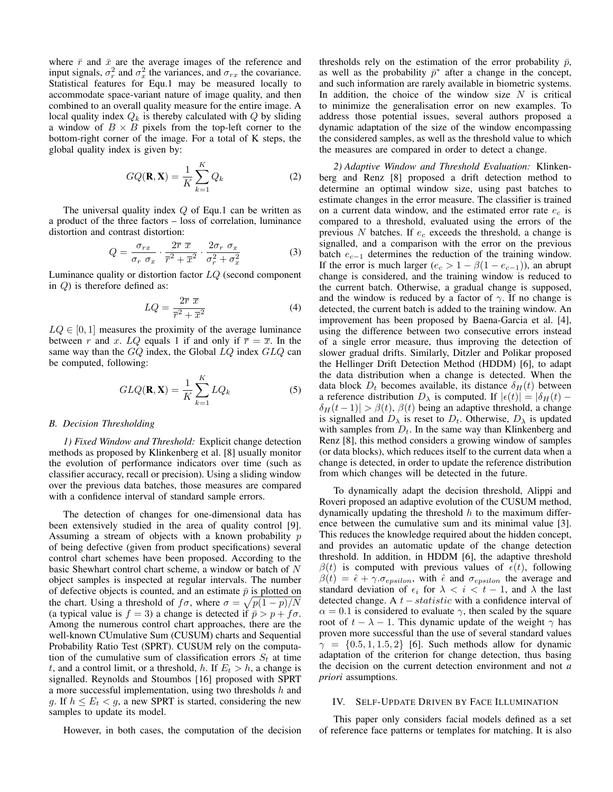where  $\bar{r}$  and  $\bar{x}$  are the average images of the reference and input signals,  $\sigma_r^2$  and  $\sigma_x^2$  the variances, and  $\sigma_{rx}$  the covariance. Statistical features for Equ.1 may be measured locally to accommodate space-variant nature of image quality, and then combined to an overall quality measure for the entire image. A local quality index  $Q_k$  is thereby calculated with  $Q$  by sliding a window of  $B \times B$  pixels from the top-left corner to the bottom-right corner of the image. For a total of K steps, the global quality index is given by:

$$
GQ(\mathbf{R}, \mathbf{X}) = \frac{1}{K} \sum_{k=1}^{K} Q_k
$$
 (2)

The universal quality index  $Q$  of Equ.1 can be written as a product of the three factors – loss of correlation, luminance distortion and contrast distortion:

$$
Q = \frac{\sigma_{rx}}{\sigma_r \sigma_x} \cdot \frac{2\overline{r} \overline{x}}{\overline{r}^2 + \overline{x}^2} \cdot \frac{2\sigma_r \sigma_x}{\sigma_r^2 + \sigma_x^2}
$$
(3)

Luminance quality or distortion factor LQ (second component in Q) is therefore defined as:

$$
LQ = \frac{2\overline{r} \ \overline{x}}{\overline{r}^2 + \overline{x}^2} \tag{4}
$$

 $LQ \in [0, 1]$  measures the proximity of the average luminance between r and x. LQ equals 1 if and only if  $\bar{r} = \bar{x}$ . In the same way than the  $GQ$  index, the Global  $LQ$  index  $GLQ$  can be computed, following:

$$
GLQ(\mathbf{R}, \mathbf{X}) = \frac{1}{K} \sum_{k=1}^{K} LQ_k
$$
 (5)

### *B. Decision Thresholding*

*1) Fixed Window and Threshold:* Explicit change detection methods as proposed by Klinkenberg et al. [8] usually monitor the evolution of performance indicators over time (such as classifier accuracy, recall or precision). Using a sliding window over the previous data batches, those measures are compared with a confidence interval of standard sample errors.

The detection of changes for one-dimensional data has been extensively studied in the area of quality control [9]. Assuming a stream of objects with a known probability  $p$ of being defective (given from product specifications) several control chart schemes have been proposed. According to the basic Shewhart control chart scheme, a window or batch of  $N$ object samples is inspected at regular intervals. The number of defective objects is counted, and an estimate  $\bar{p}$  is plotted on the chart. Using a threshold of  $f\sigma$ , where  $\sigma = \sqrt{p(1-p)/N}$ (a typical value is  $f = 3$ ) a change is detected if  $\bar{p} > p + f\sigma$ . Among the numerous control chart approaches, there are the well-known CUmulative Sum (CUSUM) charts and Sequential Probability Ratio Test (SPRT). CUSUM rely on the computation of the cumulative sum of classification errors  $S_t$  at time t, and a control limit, or a threshold, h. If  $E_t > h$ , a change is signalled. Reynolds and Stoumbos [16] proposed with SPRT a more successful implementation, using two thresholds  $h$  and g. If  $h \le E_t < g$ , a new SPRT is started, considering the new samples to update its model.

However, in both cases, the computation of the decision

thresholds rely on the estimation of the error probability  $\bar{p}$ , as well as the probability  $\bar{p}^*$  after a change in the concept, and such information are rarely available in biometric systems. In addition, the choice of the window size  $N$  is critical to minimize the generalisation error on new examples. To address those potential issues, several authors proposed a dynamic adaptation of the size of the window encompassing the considered samples, as well as the threshold value to which the measures are compared in order to detect a change.

*2) Adaptive Window and Threshold Evaluation:* Klinkenberg and Renz [8] proposed a drift detection method to determine an optimal window size, using past batches to estimate changes in the error measure. The classifier is trained on a current data window, and the estimated error rate  $e_c$  is compared to a threshold, evaluated using the errors of the previous  $N$  batches. If  $e_c$  exceeds the threshold, a change is signalled, and a comparison with the error on the previous batch  $e_{c-1}$  determines the reduction of the training window. If the error is much larger  $(e_c > 1 - \beta(1 - e_{c-1}))$ , an abrupt change is considered, and the training window is reduced to the current batch. Otherwise, a gradual change is supposed, and the window is reduced by a factor of  $\gamma$ . If no change is detected, the current batch is added to the training window. An improvement has been proposed by Baena-Garcia et al. [4], using the difference between two consecutive errors instead of a single error measure, thus improving the detection of slower gradual drifts. Similarly, Ditzler and Polikar proposed the Hellinger Drift Detection Method (HDDM) [6], to adapt the data distribution when a change is detected. When the data block  $D_t$  becomes available, its distance  $\delta_H(t)$  between a reference distribution  $D_{\lambda}$  is computed. If  $|\epsilon(t)| = |\delta_H(t) - \delta_H(t)|$  $\delta_H(t-1)| > \beta(t)$ ,  $\beta(t)$  being an adaptive threshold, a change is signalled and  $D_{\lambda}$  is reset to  $D_{t}$ . Otherwise,  $D_{\lambda}$  is updated with samples from  $D_t$ . In the same way than Klinkenberg and Renz [8], this method considers a growing window of samples (or data blocks), which reduces itself to the current data when a change is detected, in order to update the reference distribution from which changes will be detected in the future.

To dynamically adapt the decision threshold, Alippi and Roveri proposed an adaptive evolution of the CUSUM method, dynamically updating the threshold  $h$  to the maximum difference between the cumulative sum and its minimal value [3]. This reduces the knowledge required about the hidden concept, and provides an automatic update of the change detection threshold. In addition, in HDDM [6], the adaptive threshold  $\beta(t)$  is computed with previous values of  $\epsilon(t)$ , following  $\beta(t) = \hat{\epsilon} + \gamma \sigma_{epsilon}$  with  $\hat{\epsilon}$  and  $\sigma_{epsilon}$  the average and standard deviation of  $\epsilon_i$  for  $\lambda < i < t - 1$ , and  $\lambda$  the last detected change. A  $t - statistic$  with a confidence interval of  $\alpha = 0.1$  is considered to evaluate  $\gamma$ , then scaled by the square root of  $t - \lambda - 1$ . This dynamic update of the weight  $\gamma$  has proven more successful than the use of several standard values  $\gamma = \{0.5, 1, 1.5, 2\}$  [6]. Such methods allow for dynamic adaptation of the criterion for change detection, thus basing the decision on the current detection environment and not *a priori* assumptions.

#### IV. SELF-UPDATE DRIVEN BY FACE ILLUMINATION

This paper only considers facial models defined as a set of reference face patterns or templates for matching. It is also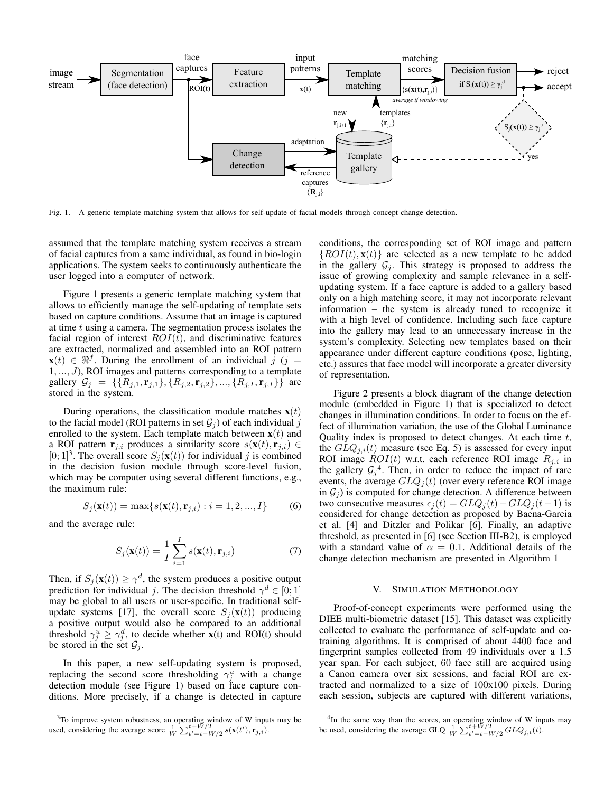

Fig. 1. A generic template matching system that allows for self-update of facial models through concept change detection.

assumed that the template matching system receives a stream of facial captures from a same individual, as found in bio-login applications. The system seeks to continuously authenticate the user logged into a computer of network.

Figure 1 presents a generic template matching system that allows to efficiently manage the self-updating of template sets based on capture conditions. Assume that an image is captured at time t using a camera. The segmentation process isolates the facial region of interest  $ROI(t)$ , and discriminative features are extracted, normalized and assembled into an ROI pattern  $\mathbf{x}(t) \in \Re^f$ . During the enrollment of an individual  $\overline{j}$  ( $j =$ 1, ..., J), ROI images and patterns corresponding to a template gallery  $G_j = \{ \{R_{j,1}, \mathbf{r}_{j,1}\}, \{R_{j,2}, \mathbf{r}_{j,2}\}, ..., \{R_{j,I}, \mathbf{r}_{j,I}\} \}$  are stored in the system.

During operations, the classification module matches  $\mathbf{x}(t)$ to the facial model (ROI patterns in set  $\mathcal{G}_i$ ) of each individual j enrolled to the system. Each template match between  $\mathbf{x}(t)$  and a ROI pattern  $\mathbf{r}_{j,i}$  produces a similarity score  $s(\mathbf{x}(t), \mathbf{r}_{j,i}) \in$  $[0; 1]^3$ . The overall score  $S_j(\mathbf{x}(t))$  for individual j is combined in the decision fusion module through score-level fusion, which may be computer using several different functions, e.g., the maximum rule:

$$
S_j(\mathbf{x}(t)) = \max\{s(\mathbf{x}(t), \mathbf{r}_{j,i}) : i = 1, 2, ..., I\}
$$
 (6)

and the average rule:

$$
S_j(\mathbf{x}(t)) = \frac{1}{I} \sum_{i=1}^{I} s(\mathbf{x}(t), \mathbf{r}_{j,i})
$$
\n(7)

Then, if  $S_j(\mathbf{x}(t)) \geq \gamma^d$ , the system produces a positive output prediction for individual j. The decision threshold  $\gamma^d \in [0;1]$ may be global to all users or user-specific. In traditional selfupdate systems [17], the overall score  $S_i(\mathbf{x}(t))$  producing a positive output would also be compared to an additional threshold  $\gamma_j^u \geq \gamma_j^d$ , to decide whether **x**(t) and ROI(t) should be stored in the set  $\mathcal{G}_i$ .

In this paper, a new self-updating system is proposed, replacing the second score thresholding  $\gamma_j^u$  with a change detection module (see Figure 1) based on face capture conditions. More precisely, if a change is detected in capture conditions, the corresponding set of ROI image and pattern  $\{ROI(t), \mathbf{x}(t)\}\)$  are selected as a new template to be added in the gallery  $G_i$ . This strategy is proposed to address the issue of growing complexity and sample relevance in a selfupdating system. If a face capture is added to a gallery based only on a high matching score, it may not incorporate relevant information – the system is already tuned to recognize it with a high level of confidence. Including such face capture into the gallery may lead to an unnecessary increase in the system's complexity. Selecting new templates based on their appearance under different capture conditions (pose, lighting, etc.) assures that face model will incorporate a greater diversity of representation.

Figure 2 presents a block diagram of the change detection module (embedded in Figure 1) that is specialized to detect changes in illumination conditions. In order to focus on the effect of illumination variation, the use of the Global Luminance Quality index is proposed to detect changes. At each time  $t$ , the  $GLQ_{j,i}(t)$  measure (see Eq. 5) is assessed for every input ROI image  $ROI(t)$  w.r.t. each reference ROI image  $R_{j,i}$  in the gallery  $G_j^4$ . Then, in order to reduce the impact of rare events, the average  $GLQ_i(t)$  (over every reference ROI image in  $\mathcal{G}_i$ ) is computed for change detection. A difference between two consecutive measures  $\epsilon_i (t) = GLQ_i (t) - GLQ_i (t-1)$  is considered for change detection as proposed by Baena-Garcia et al. [4] and Ditzler and Polikar [6]. Finally, an adaptive threshold, as presented in [6] (see Section III-B2), is employed with a standard value of  $\alpha = 0.1$ . Additional details of the change detection mechanism are presented in Algorithm 1

# V. SIMULATION METHODOLOGY

Proof-of-concept experiments were performed using the DIEE multi-biometric dataset [15]. This dataset was explicitly collected to evaluate the performance of self-update and cotraining algorithms. It is comprised of about 4400 face and fingerprint samples collected from 49 individuals over a 1.5 year span. For each subject, 60 face still are acquired using a Canon camera over six sessions, and facial ROI are extracted and normalized to a size of 100x100 pixels. During each session, subjects are captured with different variations,

<sup>&</sup>lt;sup>3</sup>To improve system robustness, an operating window of W inputs may be used, considering the average score  $\frac{1}{W} \sum_{t'=t-W/2}^{t+W/2} s(\mathbf{x}(t'), \mathbf{r}_{j,i}).$ 

<sup>&</sup>lt;sup>4</sup>In the same way than the scores, an operating window of W inputs may be used, considering the average GLQ  $\frac{1}{W} \sum_{t'=t-W/2}^{t+W/2} GLQ_{j,i}(t)$ .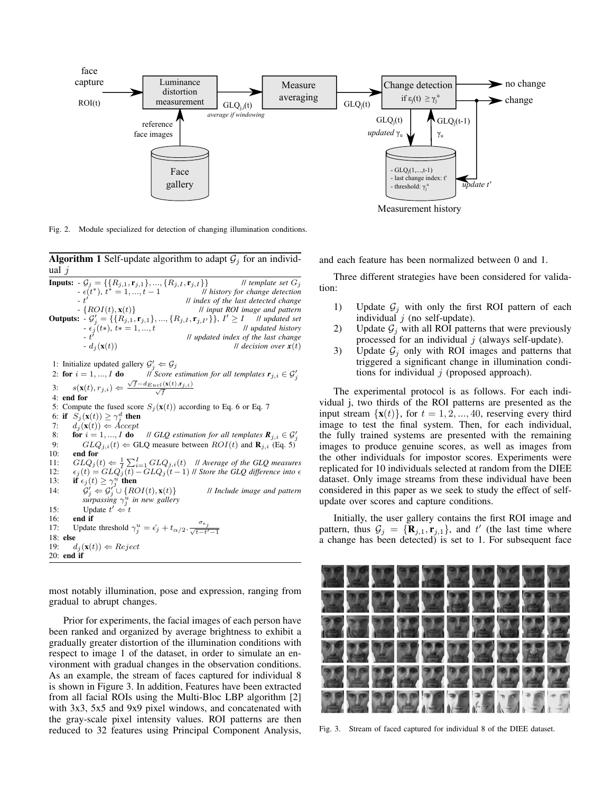

Fig. 2. Module specialized for detection of changing illumination conditions.

**Algorithm 1** Self-update algorithm to adapt  $G_i$  for an individual  $j$ 

**Inputs:**  $-G_j = \{\{R_{j,1}, \mathbf{r}_{j,1}\}, ..., \{R_{j,I}, \mathbf{r}_{j,I}\}\}$  // *template set*  $G_j$  $-\epsilon(t^*)$ ,  $t^* = 1, ..., t-1$  *if history for change detection*  $-t'$ // *index of the last detected change* - {ROI(t), x(t)} // *input ROI image and pattern* **Outputs:**  $G'_j = \{ \{R_{j,1}, \mathbf{r}_{j,1} \}, ..., \{ R_{j,I}, \mathbf{r}_{j,I'} \} \}$ ,  $I' \geq I$  *I I updated set*  $\epsilon_j(t*), t* = 1, ..., t$  // *updated history*  $-t^{\check\prime}$ // *updated index of the last change*  $-d_i(\mathbf{x}(t))$  // *decision over*  $\mathbf{x}(t)$ 

1: Initialize updated gallery  $\mathcal{G}'_j \Leftarrow \mathcal{G}_j$ 2: **for**  $i = 1, ..., I$  **do** // *Score estimation for all templates*  $r_{j,i} \in \mathcal{G}'_j$ 3:  $s(\mathbf{x}(t), r_{j,i}) \leftarrow \frac{\sqrt{f} - d_{Eucl}(\mathbf{x}(t), \mathbf{r}_{j,i})}{\sqrt{f}}$ 4: end for 5: Compute the fused score  $S_j(\mathbf{x}(t))$  according to Eq. 6 or Eq. 7 6: if  $S_j(\mathbf{x}(t)) \geq \gamma_j^d$  then 7:  $d_j(\mathbf{x}(t)) \Leftarrow \text{Accept}$ 8: **for**  $i = 1, ..., I$  **do** *// GLQ estimation for all templates*  $\mathbf{R}_{j,i} \in \mathcal{G}'_j$ 9:  $GLQ_{j,i}(t) \leftarrow GLQ$  measure between  $ROI(t)$  and  $\mathbf{R}_{j,i}$  (Eq. 5)<br>10: **end for** end for 11:  $GLQ_j(t) \Leftarrow \frac{1}{I} \sum_{i=1}^{I} GLQ_{j,i}(t)$  // *Average of the GLQ measures*<br>12:  $\epsilon_j(t) = GLQ_j(t) - GLQ_j(t-1)$  // *Store the GLQ difference into*  $\epsilon$ 13: if  $\epsilon_j(t) \geq \gamma_j^u$  then 14:  $\mathcal{G}'_j \Leftarrow \mathcal{G}'_j$  $//$  *Include image and pattern*  $s$ *urpassing*  $\gamma_j^{\hat{u}}$  in new gallery 15: Update  $t' \Leftarrow t$ 16: end if 17: Update threshold  $\gamma_j^u = \hat{\epsilon}_j + t_{\alpha/2} \cdot \frac{\sigma_{\epsilon_j}}{\sqrt{t-t'-1}}$ 18: else 19:  $d_j(\mathbf{x}(t)) \Leftarrow$  Reject 20: end if

most notably illumination, pose and expression, ranging from gradual to abrupt changes.

Prior for experiments, the facial images of each person have been ranked and organized by average brightness to exhibit a gradually greater distortion of the illumination conditions with respect to image 1 of the dataset, in order to simulate an environment with gradual changes in the observation conditions. As an example, the stream of faces captured for individual 8 is shown in Figure 3. In addition, Features have been extracted from all facial ROIs using the Multi-Bloc LBP algorithm [2] with 3x3, 5x5 and 9x9 pixel windows, and concatenated with the gray-scale pixel intensity values. ROI patterns are then reduced to 32 features using Principal Component Analysis,

and each feature has been normalized between 0 and 1.

Three different strategies have been considered for validation:

- 1) Update  $G_j$  with only the first ROI pattern of each individual  $j$  (no self-update).
- 2) Update  $G_i$  with all ROI patterns that were previously processed for an individual  $j$  (always self-update).
- 3) Update  $G_j$  only with ROI images and patterns that triggered a significant change in illumination conditions for individual  $j$  (proposed approach).

The experimental protocol is as follows. For each individual j, two thirds of the ROI patterns are presented as the input stream  $\{x(t)\}\text{, for } t = 1, 2, \ldots, 40\text{, reserving every third}$ image to test the final system. Then, for each individual, the fully trained systems are presented with the remaining images to produce genuine scores, as well as images from the other individuals for impostor scores. Experiments were replicated for 10 individuals selected at random from the DIEE dataset. Only image streams from these individual have been considered in this paper as we seek to study the effect of selfupdate over scores and capture conditions.

Initially, the user gallery contains the first ROI image and pattern, thus  $\mathcal{G}_j = {\{\mathbf{R}_{j,1}, \mathbf{r}_{j,1}\}}$ , and t' (the last time where a change has been detected) is set to 1. For subsequent face



Fig. 3. Stream of faced captured for individual 8 of the DIEE dataset.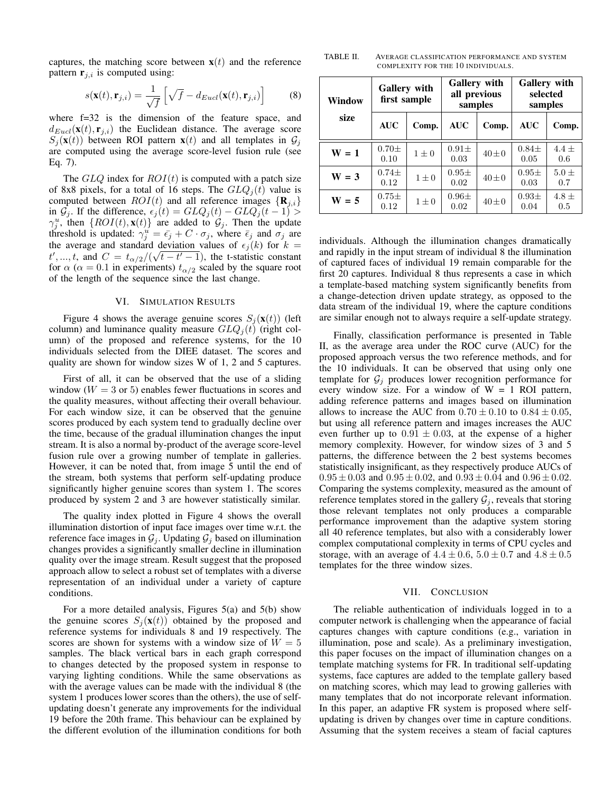captures, the matching score between  $\mathbf{x}(t)$  and the reference pattern  $\mathbf{r}_{i,i}$  is computed using:

$$
s(\mathbf{x}(t), \mathbf{r}_{j,i}) = \frac{1}{\sqrt{f}} \left[ \sqrt{f} - d_{Eucl}(\mathbf{x}(t), \mathbf{r}_{j,i}) \right]
$$
(8)

where f=32 is the dimension of the feature space, and  $d_{Eucl}(\mathbf{x}(t), \mathbf{r}_{j,i})$  the Euclidean distance. The average score  $S_j(\mathbf{x}(t))$  between ROI pattern  $\mathbf{x}(t)$  and all templates in  $\mathcal{G}_j$ are computed using the average score-level fusion rule (see Eq. 7).

The  $GLQ$  index for  $ROI(t)$  is computed with a patch size of 8x8 pixels, for a total of 16 steps. The  $GLQ_i(t)$  value is computed between  $ROI(t)$  and all reference images  $\{R_{j,i}\}\$ in  $G_j$ . If the difference,  $\epsilon_j (t) = GLQ_j(t) - GLQ_j(t-1) >$  $\gamma_j^u$ , then  $\{ROI(t), \mathbf{x}(t)\}$  are added to  $\mathcal{G}_j$ . Then the update threshold is updated:  $\gamma_j^u = \bar{\epsilon}_j + C \cdot \sigma_j$ , where  $\bar{\epsilon}_j$  and  $\sigma_j$  are the average and standard deviation values of  $\epsilon_j (k)$  for  $k =$  $t', ..., t$ , and  $C = t_{\alpha/2}/(\sqrt{t-t'-1})$ , the t-statistic constant for  $\alpha$  ( $\alpha = 0.1$  in experiments)  $t_{\alpha/2}$  scaled by the square root of the length of the sequence since the last change.

# VI. SIMULATION RESULTS

Figure 4 shows the average genuine scores  $S_i(\mathbf{x}(t))$  (left column) and luminance quality measure  $GLQ<sub>i</sub>(t)$  (right column) of the proposed and reference systems, for the 10 individuals selected from the DIEE dataset. The scores and quality are shown for window sizes W of 1, 2 and 5 captures.

First of all, it can be observed that the use of a sliding window  $(W = 3 \text{ or } 5)$  enables fewer fluctuations in scores and the quality measures, without affecting their overall behaviour. For each window size, it can be observed that the genuine scores produced by each system tend to gradually decline over the time, because of the gradual illumination changes the input stream. It is also a normal by-product of the average score-level fusion rule over a growing number of template in galleries. However, it can be noted that, from image 5 until the end of the stream, both systems that perform self-updating produce significantly higher genuine scores than system 1. The scores produced by system 2 and 3 are however statistically similar.

The quality index plotted in Figure 4 shows the overall illumination distortion of input face images over time w.r.t. the reference face images in  $\mathcal{G}_i$ . Updating  $\mathcal{G}_i$  based on illumination changes provides a significantly smaller decline in illumination quality over the image stream. Result suggest that the proposed approach allow to select a robust set of templates with a diverse representation of an individual under a variety of capture conditions.

For a more detailed analysis, Figures 5(a) and 5(b) show the genuine scores  $S_i(\mathbf{x}(t))$  obtained by the proposed and reference systems for individuals 8 and 19 respectively. The scores are shown for systems with a window size of  $W = 5$ samples. The black vertical bars in each graph correspond to changes detected by the proposed system in response to varying lighting conditions. While the same observations as with the average values can be made with the individual 8 (the system 1 produces lower scores than the others), the use of selfupdating doesn't generate any improvements for the individual 19 before the 20th frame. This behaviour can be explained by the different evolution of the illumination conditions for both

TABLE II. AVERAGE CLASSIFICATION PERFORMANCE AND SYSTEM COMPLEXITY FOR THE 10 INDIVIDUALS.

| Window<br>size | <b>Gallery</b> with<br>first sample |          | <b>Gallery</b> with<br>all previous<br>samples |          | Gallery with<br>selected<br>samples |                  |
|----------------|-------------------------------------|----------|------------------------------------------------|----------|-------------------------------------|------------------|
|                | <b>AUC</b>                          | Comp.    | <b>AUC</b>                                     | Comp.    | <b>AUC</b>                          | Comp.            |
| $W = 1$        | $0.70\pm$<br>0.10                   | $1\pm 0$ | $0.91\pm$<br>0.03                              | $40\pm0$ | $0.84\pm$<br>0.05                   | $4.4 +$<br>0.6   |
| $W = 3$        | $0.74\pm$<br>0.12                   | $1\pm 0$ | $0.95\pm$<br>0.02                              | $40\pm0$ | $0.95\pm$<br>0.03                   | $5.0 \pm$<br>0.7 |
| $W = 5$        | $0.75\pm$<br>0.12                   | $1\pm 0$ | $0.96\pm$<br>0.02                              | $40\pm0$ | $0.93\pm$<br>0.04                   | $4.8 +$<br>0.5   |

individuals. Although the illumination changes dramatically and rapidly in the input stream of individual 8 the illumination of captured faces of individual 19 remain comparable for the first 20 captures. Individual 8 thus represents a case in which a template-based matching system significantly benefits from a change-detection driven update strategy, as opposed to the data stream of the individual 19, where the capture conditions are similar enough not to always require a self-update strategy.

Finally, classification performance is presented in Table II, as the average area under the ROC curve (AUC) for the proposed approach versus the two reference methods, and for the 10 individuals. It can be observed that using only one template for  $G_i$  produces lower recognition performance for every window size. For a window of  $W = 1$  ROI pattern, adding reference patterns and images based on illumination allows to increase the AUC from  $0.70 \pm 0.10$  to  $0.84 \pm 0.05$ , but using all reference pattern and images increases the AUC even further up to  $0.91 \pm 0.03$ , at the expense of a higher memory complexity. However, for window sizes of 3 and 5 patterns, the difference between the 2 best systems becomes statistically insignificant, as they respectively produce AUCs of  $0.95 \pm 0.03$  and  $0.95 \pm 0.02$ , and  $0.93 \pm 0.04$  and  $0.96 \pm 0.02$ . Comparing the systems complexity, measured as the amount of reference templates stored in the gallery  $G_i$ , reveals that storing those relevant templates not only produces a comparable performance improvement than the adaptive system storing all 40 reference templates, but also with a considerably lower complex computational complexity in terms of CPU cycles and storage, with an average of  $4.4 \pm 0.6$ ,  $5.0 \pm 0.7$  and  $4.8 \pm 0.5$ templates for the three window sizes.

# VII. CONCLUSION

The reliable authentication of individuals logged in to a computer network is challenging when the appearance of facial captures changes with capture conditions (e.g., variation in illumination, pose and scale). As a preliminary investigation, this paper focuses on the impact of illumination changes on a template matching systems for FR. In traditional self-updating systems, face captures are added to the template gallery based on matching scores, which may lead to growing galleries with many templates that do not incorporate relevant information. In this paper, an adaptive FR system is proposed where selfupdating is driven by changes over time in capture conditions. Assuming that the system receives a steam of facial captures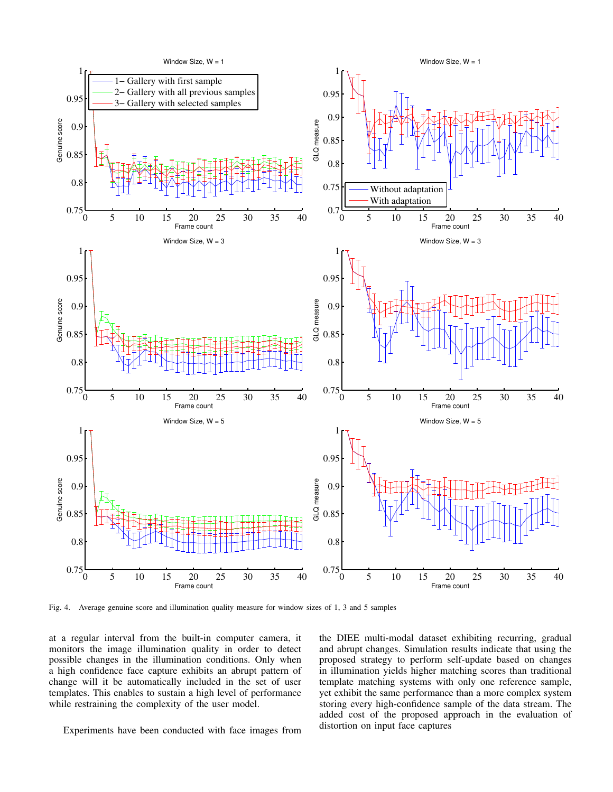

Fig. 4. Average genuine score and illumination quality measure for window sizes of 1, 3 and 5 samples

at a regular interval from the built-in computer camera, it monitors the image illumination quality in order to detect possible changes in the illumination conditions. Only when a high confidence face capture exhibits an abrupt pattern of change will it be automatically included in the set of user templates. This enables to sustain a high level of performance while restraining the complexity of the user model.

Experiments have been conducted with face images from

the DIEE multi-modal dataset exhibiting recurring, gradual and abrupt changes. Simulation results indicate that using the proposed strategy to perform self-update based on changes in illumination yields higher matching scores than traditional template matching systems with only one reference sample, yet exhibit the same performance than a more complex system storing every high-confidence sample of the data stream. The added cost of the proposed approach in the evaluation of distortion on input face captures